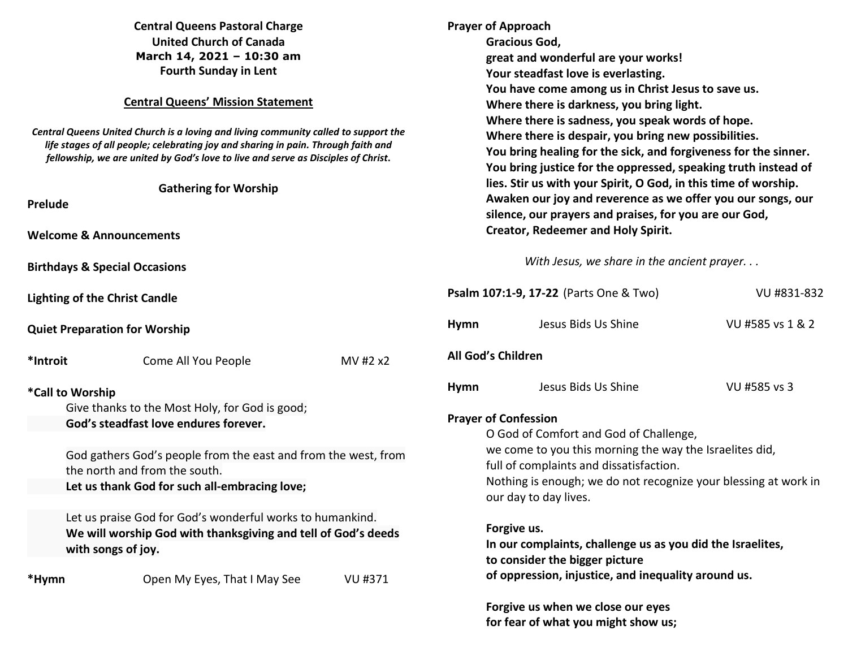| <b>Central Queens Pastoral Charge</b><br><b>United Church of Canada</b><br>March 14, 2021 - 10:30 am<br><b>Fourth Sunday in Lent</b><br><b>Central Queens' Mission Statement</b><br>Central Queens United Church is a loving and living community called to support the<br>life stages of all people; celebrating joy and sharing in pain. Through faith and<br>fellowship, we are united by God's love to live and serve as Disciples of Christ.<br><b>Gathering for Worship</b><br><b>Prelude</b> |                                          | <b>Prayer of Approach</b><br>Gracious God,<br>great and wonderful are your works!<br>Your steadfast love is everlasting.<br>You have come among us in Christ Jesus to save us.<br>Where there is darkness, you bring light.<br>Where there is sadness, you speak words of hope.<br>Where there is despair, you bring new possibilities.<br>You bring healing for the sick, and forgiveness for the sinner.<br>You bring justice for the oppressed, speaking truth instead of<br>lies. Stir us with your Spirit, O God, in this time of worship.<br>Awaken our joy and reverence as we offer you our songs, our |                                                                                                                                                                                                |                                                                                                                                 |                  |
|-----------------------------------------------------------------------------------------------------------------------------------------------------------------------------------------------------------------------------------------------------------------------------------------------------------------------------------------------------------------------------------------------------------------------------------------------------------------------------------------------------|------------------------------------------|----------------------------------------------------------------------------------------------------------------------------------------------------------------------------------------------------------------------------------------------------------------------------------------------------------------------------------------------------------------------------------------------------------------------------------------------------------------------------------------------------------------------------------------------------------------------------------------------------------------|------------------------------------------------------------------------------------------------------------------------------------------------------------------------------------------------|---------------------------------------------------------------------------------------------------------------------------------|------------------|
| <b>Welcome &amp; Announcements</b>                                                                                                                                                                                                                                                                                                                                                                                                                                                                  |                                          |                                                                                                                                                                                                                                                                                                                                                                                                                                                                                                                                                                                                                |                                                                                                                                                                                                | silence, our prayers and praises, for you are our God,<br><b>Creator, Redeemer and Holy Spirit.</b>                             |                  |
|                                                                                                                                                                                                                                                                                                                                                                                                                                                                                                     | <b>Birthdays &amp; Special Occasions</b> |                                                                                                                                                                                                                                                                                                                                                                                                                                                                                                                                                                                                                |                                                                                                                                                                                                | With Jesus, we share in the ancient prayer                                                                                      |                  |
| <b>Lighting of the Christ Candle</b>                                                                                                                                                                                                                                                                                                                                                                                                                                                                |                                          |                                                                                                                                                                                                                                                                                                                                                                                                                                                                                                                                                                                                                |                                                                                                                                                                                                | Psalm 107:1-9, 17-22 (Parts One & Two)                                                                                          | VU #831-832      |
|                                                                                                                                                                                                                                                                                                                                                                                                                                                                                                     | <b>Quiet Preparation for Worship</b>     |                                                                                                                                                                                                                                                                                                                                                                                                                                                                                                                                                                                                                | <b>Hymn</b>                                                                                                                                                                                    | Jesus Bids Us Shine                                                                                                             | VU #585 vs 1 & 2 |
| *Introit                                                                                                                                                                                                                                                                                                                                                                                                                                                                                            | Come All You People                      | MV #2 x2                                                                                                                                                                                                                                                                                                                                                                                                                                                                                                                                                                                                       | All God's Children                                                                                                                                                                             |                                                                                                                                 |                  |
| *Call to Worship                                                                                                                                                                                                                                                                                                                                                                                                                                                                                    |                                          |                                                                                                                                                                                                                                                                                                                                                                                                                                                                                                                                                                                                                | <b>Hymn</b>                                                                                                                                                                                    | Jesus Bids Us Shine                                                                                                             | VU #585 vs 3     |
| Give thanks to the Most Holy, for God is good;<br>God's steadfast love endures forever.                                                                                                                                                                                                                                                                                                                                                                                                             |                                          |                                                                                                                                                                                                                                                                                                                                                                                                                                                                                                                                                                                                                | <b>Prayer of Confession</b><br>O God of Comfort and God of Challenge,                                                                                                                          |                                                                                                                                 |                  |
| God gathers God's people from the east and from the west, from<br>the north and from the south.<br>Let us thank God for such all-embracing love;                                                                                                                                                                                                                                                                                                                                                    |                                          |                                                                                                                                                                                                                                                                                                                                                                                                                                                                                                                                                                                                                | we come to you this morning the way the Israelites did,<br>full of complaints and dissatisfaction.<br>Nothing is enough; we do not recognize your blessing at work in<br>our day to day lives. |                                                                                                                                 |                  |
| Let us praise God for God's wonderful works to humankind.<br>We will worship God with thanksgiving and tell of God's deeds<br>with songs of joy.                                                                                                                                                                                                                                                                                                                                                    |                                          |                                                                                                                                                                                                                                                                                                                                                                                                                                                                                                                                                                                                                | Forgive us.<br>In our complaints, challenge us as you did the Israelites,<br>to consider the bigger picture                                                                                    |                                                                                                                                 |                  |
| *Hymn                                                                                                                                                                                                                                                                                                                                                                                                                                                                                               | Open My Eyes, That I May See             | VU #371                                                                                                                                                                                                                                                                                                                                                                                                                                                                                                                                                                                                        |                                                                                                                                                                                                | of oppression, injustice, and inequality around us.<br>Forgive us when we close our eyes<br>for fear of what you might show us; |                  |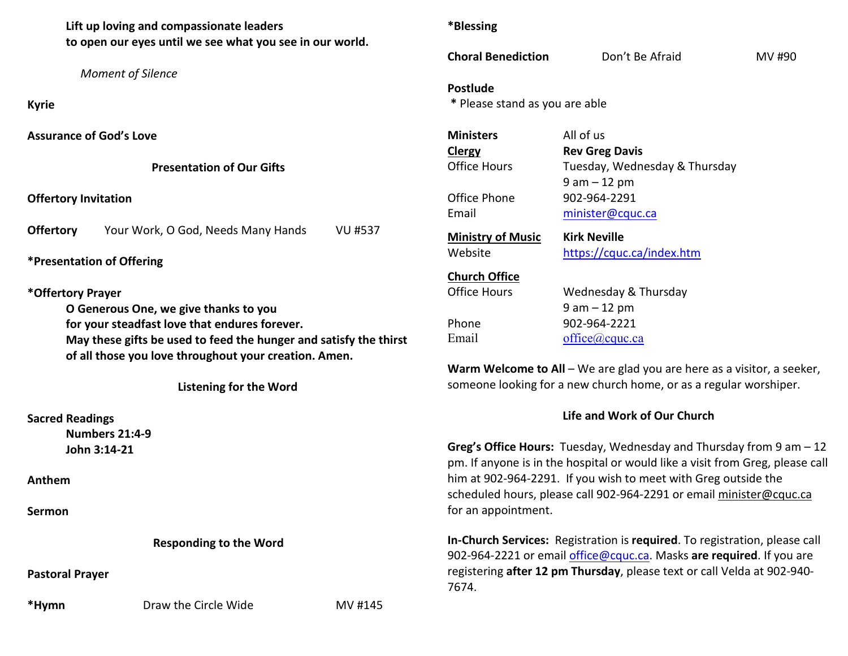**Lift up loving and compassionate leaders to open our eyes until we see what you see in our world.**

 *Moment of Silence* 

**Kyrie** 

**Assurance of God's Love** 

**Presentation of Our Gifts** 

## **Offertory Invitation**

**Offertory** Your Work, O God, Needs Many Hands VU #537

**\*Presentation of Offering** 

**\*Offertory Prayer** 

**O Generous One, we give thanks to you for your steadfast love that endures forever. May these gifts be used to feed the hunger and satisfy the thirst of all those you love throughout your creation. Amen.** 

**Listening for the Word** 

**Sacred Readings Numbers 21:4-9 John 3:14-21** 

**Anthem** 

**Sermon** 

**Responding to the Word** 

**Pastoral Prayer** 

\*Hymn **Draw the Circle Wide** MV #145

**\*Blessing** 

**Choral Benediction** Don't Be Afraid MV #90

**Postlude** 

 **\*** Please stand as you are able

| <b>Ministers</b>         | All of us                     |
|--------------------------|-------------------------------|
| Clergy                   | <b>Rev Greg Davis</b>         |
| <b>Office Hours</b>      | Tuesday, Wednesday & Thursday |
|                          | 9 am – 12 pm                  |
| Office Phone             | 902-964-2291                  |
| Email                    | minister@cquc.ca              |
| <b>Ministry of Music</b> | <b>Kirk Neville</b>           |
|                          |                               |
| Website                  | https://cquc.ca/index.htm     |
| <b>Church Office</b>     |                               |
| Office Hours             | Wednesday & Thursday          |
|                          | 9 am – 12 pm                  |
| Phone                    | 902-964-2221                  |

**Warm Welcome to All** – We are glad you are here as a visitor, a seeker,someone looking for a new church home, or as a regular worshiper.

## **Life and Work of Our Church**

**Greg's Office Hours:** Tuesday, Wednesday and Thursday from 9 am – 12 pm. If anyone is in the hospital or would like a visit from Greg, please call him at 902-964-2291. If you wish to meet with Greg outside the scheduled hours, please call 902-964-2291 or email minister@cquc.ca for an appointment.

**In-Church Services:** Registration is **required**. To registration, please call 902-964-2221 or email office@cquc.ca. Masks **are required**. If you are registering **after 12 pm Thursday**, please text or call Velda at 902-940- 7674.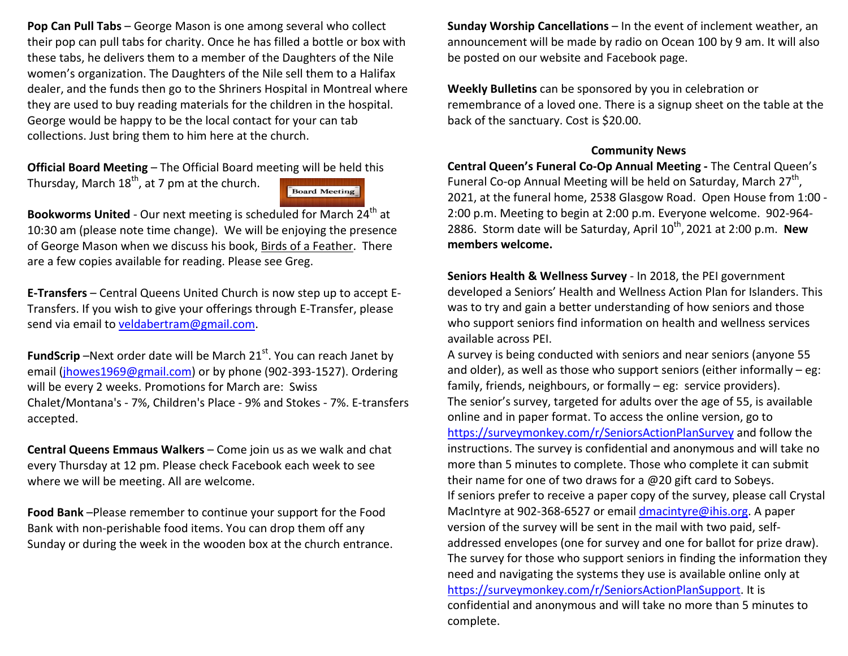**Pop Can Pull Tabs** – George Mason is one among several who collect their pop can pull tabs for charity. Once he has filled a bottle or box with these tabs, he delivers them to a member of the Daughters of the Nile women's organization. The Daughters of the Nile sell them to a Halifax dealer, and the funds then go to the Shriners Hospital in Montreal where they are used to buy reading materials for the children in the hospital. George would be happy to be the local contact for your can tab collections. Just bring them to him here at the church.

**Official Board Meeting** – The Official Board meeting will be held this Thursday, March  $18<sup>th</sup>$ , at 7 pm at the church. Board Meeting

**Bookworms United** - Our next meeting is scheduled for March 24<sup>th</sup> at 10:30 am (please note time change). We will be enjoying the presence of George Mason when we discuss his book, Birds of a Feather. There are a few copies available for reading. Please see Greg.

**E-Transfers** – Central Queens United Church is now step up to accept E-Transfers. If you wish to give your offerings through E-Transfer, please send via email to veldabertram@gmail.com.

**FundScrip** –Next order date will be March 21<sup>st</sup>. You can reach Janet by email (jhowes1969@gmail.com) or by phone (902-393-1527). Ordering will be every 2 weeks. Promotions for March are: Swiss Chalet/Montana's - 7%, Children's Place - 9% and Stokes - 7%. E-transfers accepted.

**Central Queens Emmaus Walkers** – Come join us as we walk and chat every Thursday at 12 pm. Please check Facebook each week to see where we will be meeting. All are welcome.

**Food Bank** –Please remember to continue your support for the Food Bank with non-perishable food items. You can drop them off any Sunday or during the week in the wooden box at the church entrance. **Sunday Worship Cancellations** – In the event of inclement weather, an announcement will be made by radio on Ocean 100 by 9 am. It will also be posted on our website and Facebook page.

**Weekly Bulletins** can be sponsored by you in celebration or remembrance of a loved one. There is a signup sheet on the table at the back of the sanctuary. Cost is \$20.00.

## **Community News**

 **Central Queen's Funeral Co-Op Annual Meeting -** The Central Queen's Funeral Co-op Annual Meeting will be held on Saturday, March  $27<sup>th</sup>$ , 2021, at the funeral home, 2538 Glasgow Road. Open House from 1:00 - 2:00 p.m. Meeting to begin at 2:00 p.m. Everyone welcome. 902-964- 2886. Storm date will be Saturday, April 10th, 2021 at 2:00 p.m. **New members welcome.**

**Seniors Health & Wellness Survey** - In 2018, the PEI government developed a Seniors' Health and Wellness Action Plan for Islanders. This was to try and gain a better understanding of how seniors and those who support seniors find information on health and wellness services available across PEI.

A survey is being conducted with seniors and near seniors (anyone 55 and older), as well as those who support seniors (either informally – eg: family, friends, neighbours, or formally – eg: service providers). The senior's survey, targeted for adults over the age of 55, is available online and in paper format. To access the online version, go to https://surveymonkey.com/r/SeniorsActionPlanSurvey and follow the instructions. The survey is confidential and anonymous and will take no more than 5 minutes to complete. Those who complete it can submit their name for one of two draws for a @20 gift card to Sobeys. If seniors prefer to receive a paper copy of the survey, please call Crystal MacIntyre at 902-368-6527 or email dmacintyre@ihis.org. A paper version of the survey will be sent in the mail with two paid, selfaddressed envelopes (one for survey and one for ballot for prize draw). The survey for those who support seniors in finding the information they need and navigating the systems they use is available online only at https://surveymonkey.com/r/SeniorsActionPlanSupport. It is confidential and anonymous and will take no more than 5 minutes to complete.